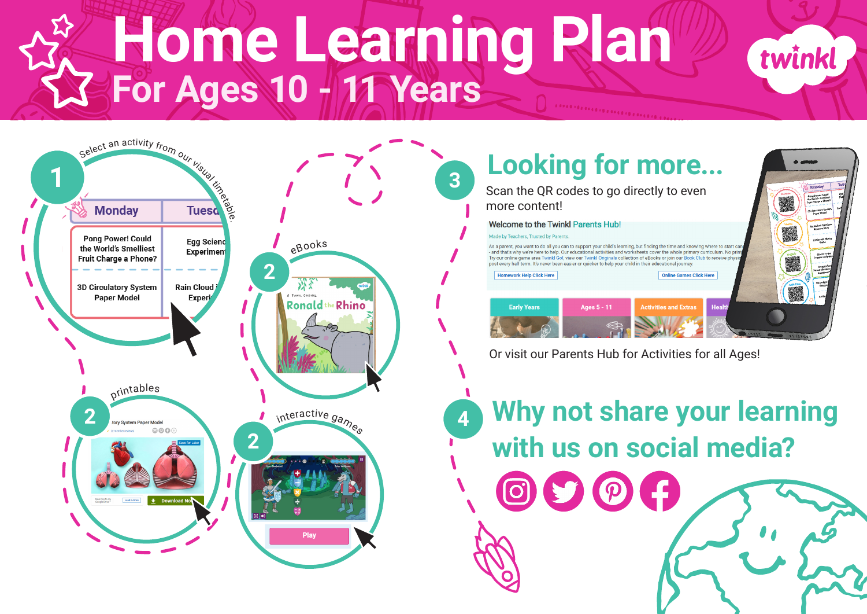## **Home Learning Plan For Ages 10 - 11 Years**

**3**



**Looking for more...** Scan the QR codes to go directly to even more content! Welcome to the Twinkl Parents Hub! Made by Teachers Trusted by Darents As a parent you want to do all you can to support your child's learning but finding the time and knowing where to start can - and that's why we're here to help. Our educational activities and worksheets cover the whole primary curriculum. No prin Try our online game area Twinkl Go!, view our Twinkl Originals collection of eBooks or join our Book Club to receive phys post every half term. It's never been easier or quicker to help your child in their educational journey **Homework Help Click Here** Online Games Click Here **Early Years ctivities and Extras** Heal Or visit our Parents Hub for Activities for all Ages!

twinkl

**<sup>4</sup> Why not share your learning with us on social media?**